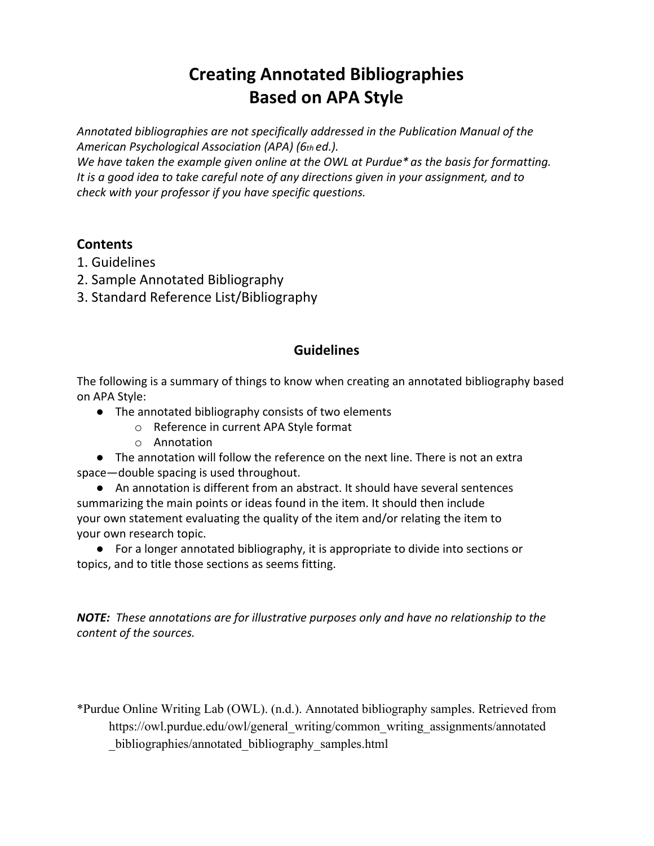# **Creating Annotated Bibliographies Based on APA Style**

*Annotated bibliographies are not specifically addressed in the Publication Manual of the American Psychological Association (APA) (6th ed.).*

*We have taken the example given online at the OWL at Purdue\* as the basis for formatting. It is a good idea to take careful note of any directions given in your assignment, and to check with your professor if you have specific questions.*

## **Contents**

- 1. Guidelines
- 2. Sample Annotated Bibliography
- 3. Standard Reference List/Bibliography

### **Guidelines**

The following is a summary of things to know when creating an annotated bibliography based on APA Style:

- The annotated bibliography consists of two elements
	- o Reference in current APA Style format
	- o Annotation

● The annotation will follow the reference on the next line. There is not an extra space—double spacing is used throughout.

● An annotation is different from an abstract. It should have several sentences summarizing the main points or ideas found in the item. It should then include your own statement evaluating the quality of the item and/or relating the item to your own research topic.

● For a longer annotated bibliography, it is appropriate to divide into sections or topics, and to title those sections as seems fitting.

*NOTE: These annotations are for illustrative purposes only and have no relationship to the content of the sources.*

\*Purdue Online Writing Lab (OWL). (n.d.). Annotated bibliography samples. Retrieved from https://owl.purdue.edu/owl/general\_writing/common\_writing\_assignments/annotated \_bibliographies/annotated\_bibliography\_samples.html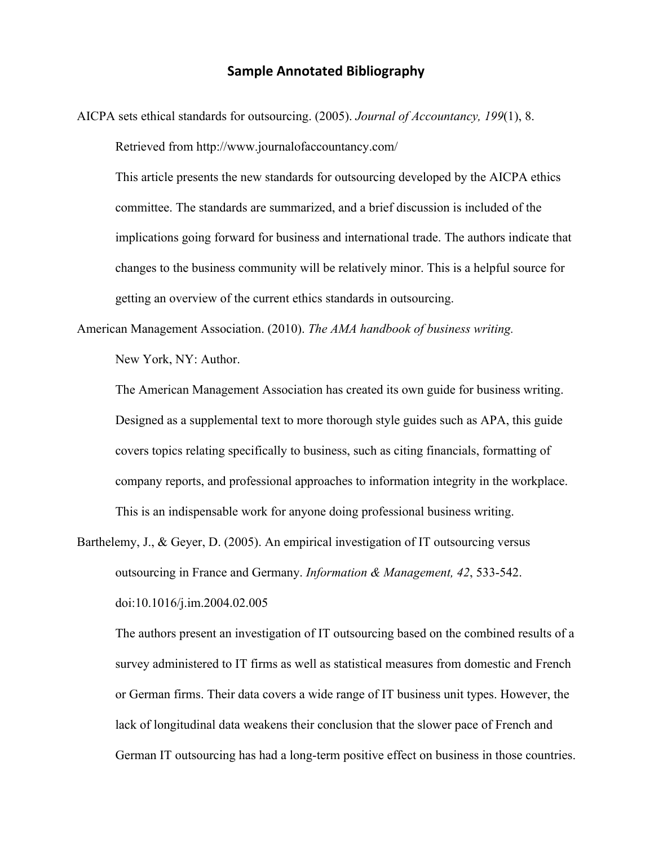#### **Sample Annotated Bibliography**

AICPA sets ethical standards for outsourcing. (2005). *Journal of Accountancy, 199*(1), 8. Retrieved from http://www.journalofaccountancy.com/

This article presents the new standards for outsourcing developed by the AICPA ethics committee. The standards are summarized, and a brief discussion is included of the implications going forward for business and international trade. The authors indicate that changes to the business community will be relatively minor. This is a helpful source for getting an overview of the current ethics standards in outsourcing.

American Management Association. (2010). *The AMA handbook of business writing.*

New York, NY: Author.

The American Management Association has created its own guide for business writing. Designed as a supplemental text to more thorough style guides such as APA, this guide covers topics relating specifically to business, such as citing financials, formatting of company reports, and professional approaches to information integrity in the workplace. This is an indispensable work for anyone doing professional business writing.

Barthelemy, J., & Geyer, D. (2005). An empirical investigation of IT outsourcing versus outsourcing in France and Germany. *Information & Management, 42*, 533-542. doi:10.1016/j.im.2004.02.005

The authors present an investigation of IT outsourcing based on the combined results of a survey administered to IT firms as well as statistical measures from domestic and French or German firms. Their data covers a wide range of IT business unit types. However, the lack of longitudinal data weakens their conclusion that the slower pace of French and German IT outsourcing has had a long-term positive effect on business in those countries.